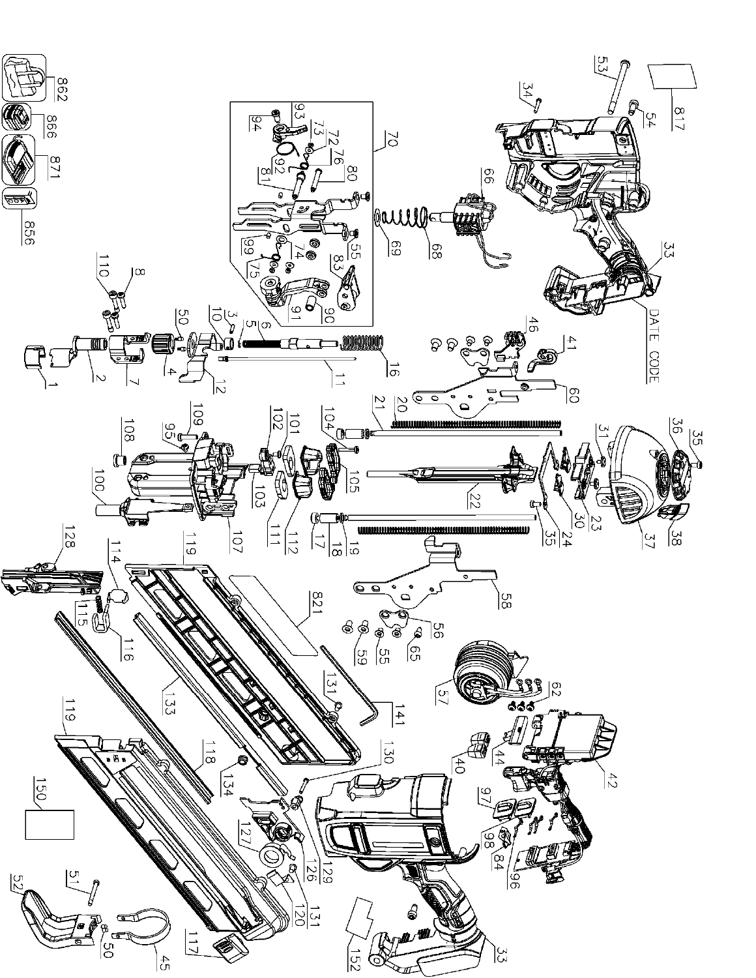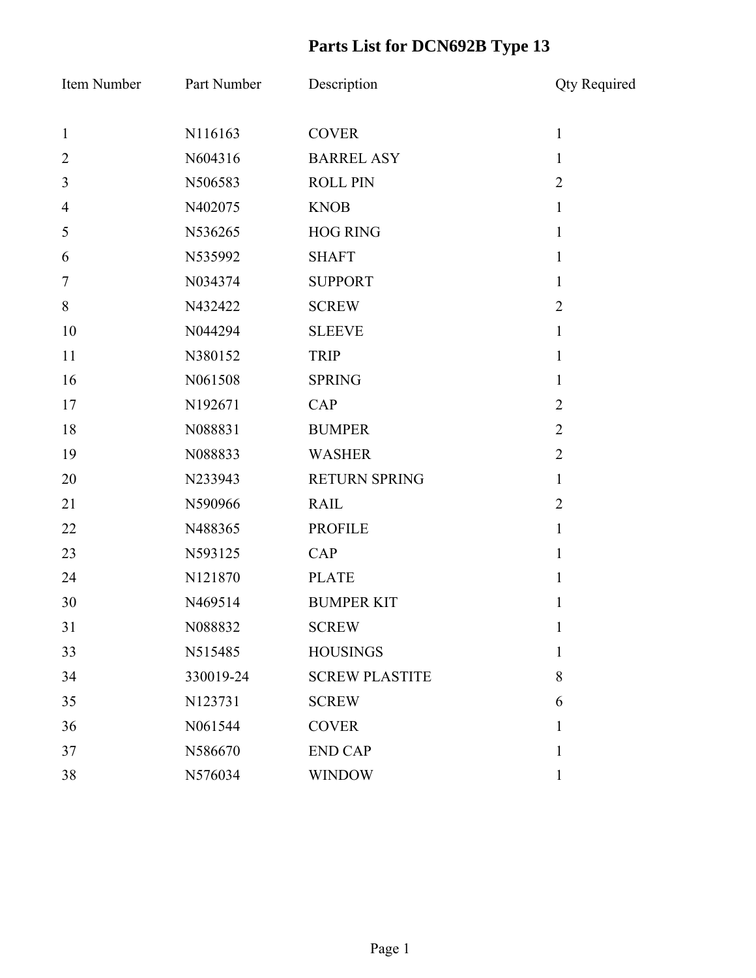| Item Number      | Part Number | Description           | <b>Qty Required</b> |
|------------------|-------------|-----------------------|---------------------|
| $\mathbf{1}$     | N116163     | <b>COVER</b>          | $\mathbf{1}$        |
| $\overline{2}$   | N604316     | <b>BARREL ASY</b>     | $\mathbf{1}$        |
| 3                | N506583     | <b>ROLL PIN</b>       | $\overline{2}$      |
| $\overline{4}$   | N402075     | <b>KNOB</b>           | $\mathbf{1}$        |
| 5                | N536265     | <b>HOG RING</b>       | $\mathbf{1}$        |
| 6                | N535992     | <b>SHAFT</b>          | $\mathbf{1}$        |
| $\boldsymbol{7}$ | N034374     | <b>SUPPORT</b>        | $\mathbf{1}$        |
| $8\,$            | N432422     | <b>SCREW</b>          | $\overline{2}$      |
| 10               | N044294     | <b>SLEEVE</b>         | $\mathbf{1}$        |
| 11               | N380152     | <b>TRIP</b>           | $\mathbf{1}$        |
| 16               | N061508     | <b>SPRING</b>         | $\mathbf{1}$        |
| 17               | N192671     | CAP                   | $\overline{2}$      |
| 18               | N088831     | <b>BUMPER</b>         | $\overline{2}$      |
| 19               | N088833     | <b>WASHER</b>         | $\overline{2}$      |
| 20               | N233943     | <b>RETURN SPRING</b>  | $\mathbf{1}$        |
| 21               | N590966     | <b>RAIL</b>           | $\overline{2}$      |
| 22               | N488365     | <b>PROFILE</b>        | $\mathbf{1}$        |
| 23               | N593125     | CAP                   | $\mathbf{1}$        |
| 24               | N121870     | <b>PLATE</b>          | $\mathbf{1}$        |
| 30               | N469514     | <b>BUMPER KIT</b>     | $\mathbf{1}$        |
| 31               | N088832     | <b>SCREW</b>          | 1                   |
| 33               | N515485     | <b>HOUSINGS</b>       | $\mathbf{1}$        |
| 34               | 330019-24   | <b>SCREW PLASTITE</b> | 8                   |
| 35               | N123731     | <b>SCREW</b>          | 6                   |
| 36               | N061544     | <b>COVER</b>          | $\mathbf{1}$        |
| 37               | N586670     | <b>END CAP</b>        | 1                   |
| 38               | N576034     | <b>WINDOW</b>         | $\mathbf{1}$        |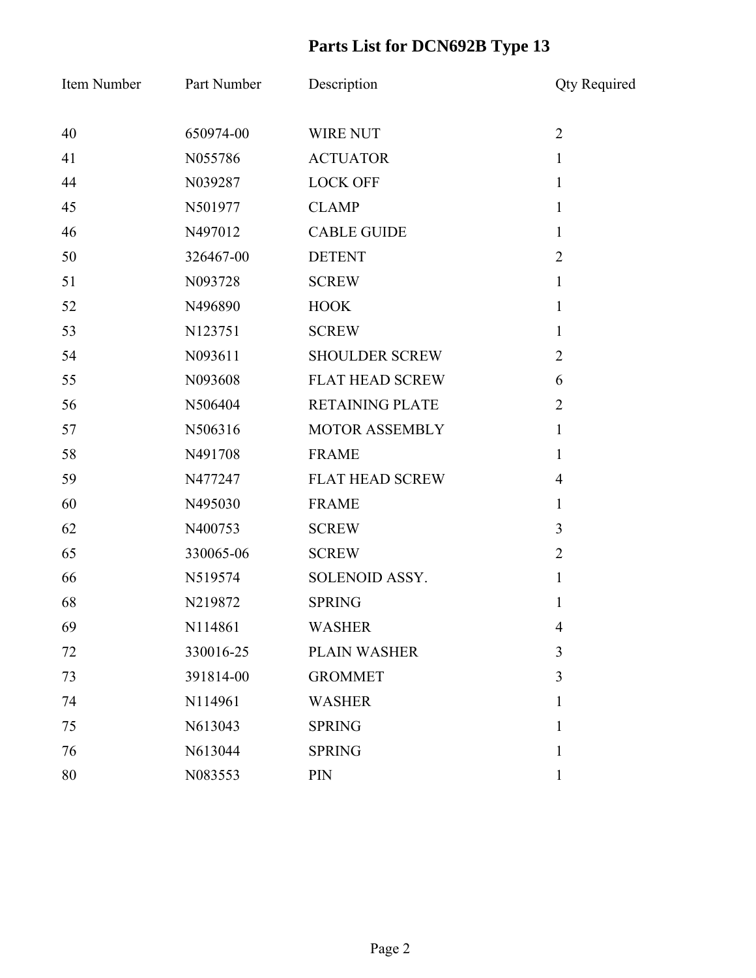| Item Number | Part Number | Description            | <b>Qty Required</b> |
|-------------|-------------|------------------------|---------------------|
| 40          | 650974-00   | <b>WIRE NUT</b>        | $\overline{2}$      |
| 41          | N055786     | <b>ACTUATOR</b>        | $\mathbf{1}$        |
| 44          | N039287     | <b>LOCK OFF</b>        | $\mathbf{1}$        |
| 45          | N501977     | <b>CLAMP</b>           | $\mathbf{1}$        |
| 46          | N497012     | <b>CABLE GUIDE</b>     | $\mathbf{1}$        |
| 50          | 326467-00   | <b>DETENT</b>          | $\overline{2}$      |
| 51          | N093728     | <b>SCREW</b>           | $\mathbf{1}$        |
| 52          | N496890     | <b>HOOK</b>            | $\mathbf{1}$        |
| 53          | N123751     | <b>SCREW</b>           | $\mathbf{1}$        |
| 54          | N093611     | <b>SHOULDER SCREW</b>  | $\overline{2}$      |
| 55          | N093608     | <b>FLAT HEAD SCREW</b> | 6                   |
| 56          | N506404     | <b>RETAINING PLATE</b> | $\overline{2}$      |
| 57          | N506316     | MOTOR ASSEMBLY         | $\mathbf{1}$        |
| 58          | N491708     | <b>FRAME</b>           | $\mathbf{1}$        |
| 59          | N477247     | FLAT HEAD SCREW        | $\overline{4}$      |
| 60          | N495030     | <b>FRAME</b>           | $\mathbf{1}$        |
| 62          | N400753     | <b>SCREW</b>           | $\mathfrak{Z}$      |
| 65          | 330065-06   | <b>SCREW</b>           | $\overline{2}$      |
| 66          | N519574     | SOLENOID ASSY.         | $\mathbf{1}$        |
| 68          | N219872     | <b>SPRING</b>          | 1                   |
| 69          | N114861     | <b>WASHER</b>          | $\overline{4}$      |
| 72          | 330016-25   | PLAIN WASHER           | 3                   |
| 73          | 391814-00   | <b>GROMMET</b>         | 3                   |
| 74          | N114961     | <b>WASHER</b>          | 1                   |
| 75          | N613043     | <b>SPRING</b>          | 1                   |
| 76          | N613044     | <b>SPRING</b>          | $\mathbf{1}$        |
| 80          | N083553     | PIN                    | $\mathbf{1}$        |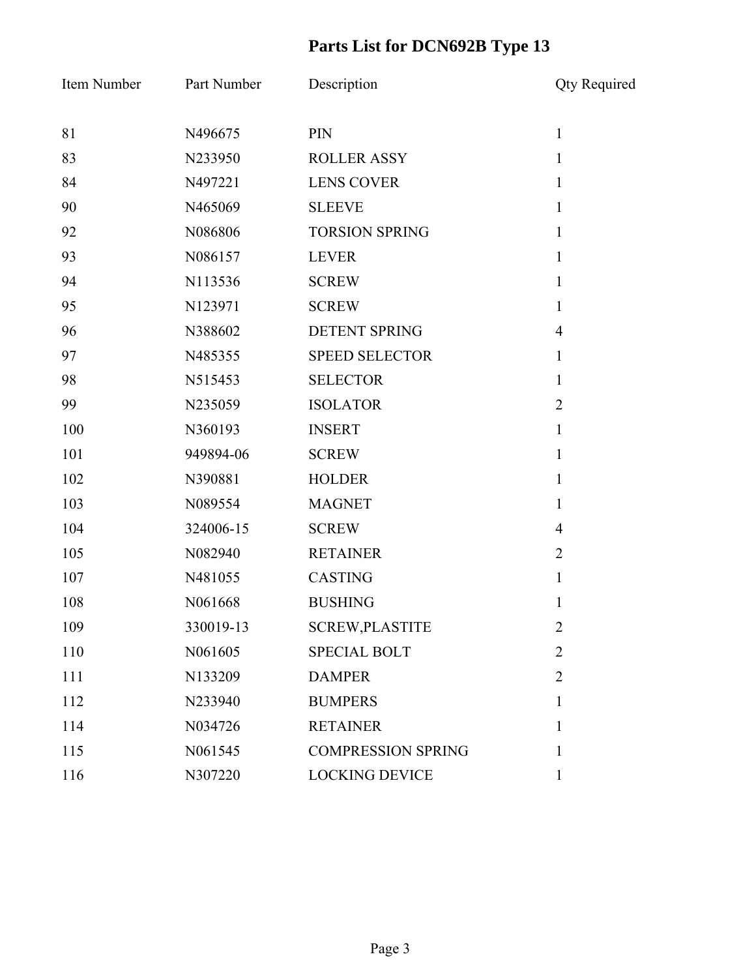| Item Number | Part Number | Description               | <b>Qty Required</b> |
|-------------|-------------|---------------------------|---------------------|
| 81          | N496675     | PIN                       | $\mathbf{1}$        |
| 83          | N233950     | <b>ROLLER ASSY</b>        | $\mathbf{1}$        |
| 84          | N497221     | <b>LENS COVER</b>         | $\mathbf{1}$        |
| 90          | N465069     | <b>SLEEVE</b>             | $\mathbf{1}$        |
| 92          | N086806     | <b>TORSION SPRING</b>     | $\mathbf{1}$        |
| 93          | N086157     | <b>LEVER</b>              | $\mathbf{1}$        |
| 94          | N113536     | <b>SCREW</b>              | $\mathbf{1}$        |
| 95          | N123971     | <b>SCREW</b>              | $\mathbf{1}$        |
| 96          | N388602     | <b>DETENT SPRING</b>      | $\overline{4}$      |
| 97          | N485355     | <b>SPEED SELECTOR</b>     | 1                   |
| 98          | N515453     | <b>SELECTOR</b>           | $\mathbf{1}$        |
| 99          | N235059     | <b>ISOLATOR</b>           | $\overline{2}$      |
| 100         | N360193     | <b>INSERT</b>             | $\mathbf{1}$        |
| 101         | 949894-06   | <b>SCREW</b>              | $\mathbf{1}$        |
| 102         | N390881     | <b>HOLDER</b>             | $\mathbf{1}$        |
| 103         | N089554     | <b>MAGNET</b>             | 1                   |
| 104         | 324006-15   | <b>SCREW</b>              | $\overline{4}$      |
| 105         | N082940     | <b>RETAINER</b>           | $\overline{2}$      |
| 107         | N481055     | <b>CASTING</b>            | $\mathbf{1}$        |
| 108         | N061668     | <b>BUSHING</b>            | $\mathbf{1}$        |
| 109         | 330019-13   | <b>SCREW, PLASTITE</b>    | $\overline{2}$      |
| 110         | N061605     | <b>SPECIAL BOLT</b>       | $\overline{2}$      |
| 111         | N133209     | <b>DAMPER</b>             | $\overline{2}$      |
| 112         | N233940     | <b>BUMPERS</b>            | 1                   |
| 114         | N034726     | <b>RETAINER</b>           | 1                   |
| 115         | N061545     | <b>COMPRESSION SPRING</b> | $\mathbf{1}$        |
| 116         | N307220     | <b>LOCKING DEVICE</b>     | 1                   |